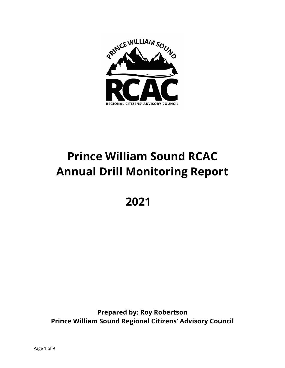

# **Prince William Sound RCAC Annual Drill Monitoring Report**

**2021**

**Prepared by: Roy Robertson Prince William Sound Regional Citizens' Advisory Council**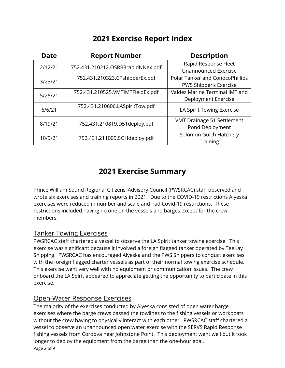# **2021 Exercise Report Index**

| <b>Date</b> | <b>Report Number</b>              | <b>Description</b>              |
|-------------|-----------------------------------|---------------------------------|
| 2/12/21     | 752.431.210212.OSRB3rapidNNex.pdf | Rapid Response Fleet            |
|             |                                   | <b>Unannounced Exercise</b>     |
| 3/23/21     | 752.431.210323.CPshipperEx.pdf    | Polar Tanker and ConocoPhillips |
|             |                                   | PWS Shipper's Exercise          |
| 5/25/21     | 752.431.210525.VMTIMTFieldEx.pdf  | Valdez Marine Terminal IMT and  |
|             |                                   | Deployment Exercise             |
| 6/6/21      | 752.431.210606.LASpiritTow.pdf    | LA Spirit Towing Exercise       |
| 8/19/21     | 752.431.210819.D51deploy.pdf      | VMT Drainage 51 Settlement      |
|             |                                   | Pond Deployment                 |
| 10/9/21     | 752.431.211009.SGHdeploy.pdf      | Solomon Gulch Hatchery          |
|             |                                   | <b>Training</b>                 |

# **2021 Exercise Summary**

Prince William Sound Regional Citizens' Advisory Council (PWSRCAC) staff observed and wrote six exercises and training reports in 2021. Due to the COVID-19 restrictions Alyeska exercises were reduced in number and scale and had Covid-19 restrictions. These restrictions included having no one on the vessels and barges except for the crew members.

### Tanker Towing Exercises

PWSRCAC staff chartered a vessel to observe the LA Spirit tanker towing exercise. This exercise was significant because it involved a foreign flagged tanker operated by TeeKay Shipping. PWSRCAC has encouraged Alyeska and the PWS Shippers to conduct exercises with the foreign flagged charter vessels as part of their normal towing exercise schedule. This exercise went very well with no equipment or communication issues. The crew onboard the LA Spirit appeared to appreciate getting the opportunity to participate in this exercise.

# Open-Water Response Exercises

The majority of the exercises conducted by Alyeska consisted of open water barge exercises where the barge crews passed the towlines to the fishing vessels or workboats without the crew having to physically interact with each other. PWSRCAC staff chartered a vessel to observe an unannounced open water exercise with the SERVS Rapid Response fishing vessels from Cordova near Johnstone Point. This deployment went well but it took longer to deploy the equipment from the barge than the one-hour goal.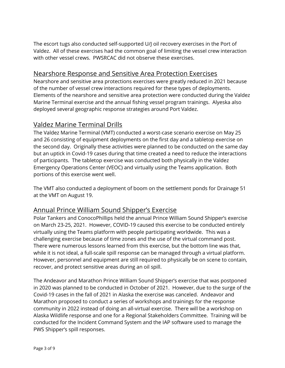The escort tugs also conducted self-supported U/J oil recovery exercises in the Port of Valdez. All of these exercises had the common goal of limiting the vessel crew interaction with other vessel crews. PWSRCAC did not observe these exercises.

#### Nearshore Response and Sensitive Area Protection Exercises

Nearshore and sensitive area protections exercises were greatly reduced in 2021 because of the number of vessel crew interactions required for these types of deployments. Elements of the nearshore and sensitive area protection were conducted during the Valdez Marine Terminal exercise and the annual fishing vessel program trainings. Alyeska also deployed several geographic response strategies around Port Valdez.

## Valdez Marine Terminal Drills

The Valdez Marine Terminal (VMT) conducted a worst-case scenario exercise on May 25 and 26 consisting of equipment deployments on the first day and a tabletop exercise on the second day. Originally these activities were planned to be conducted on the same day but an uptick in Covid-19 cases during that time created a need to reduce the interactions of participants. The tabletop exercise was conducted both physically in the Valdez Emergency Operations Center (VEOC) and virtually using the Teams application. Both portions of this exercise went well.

The VMT also conducted a deployment of boom on the settlement ponds for Drainage 51 at the VMT on August 19.

### Annual Prince William Sound Shipper's Exercise

Polar Tankers and ConocoPhillips held the annual Prince William Sound Shipper's exercise on March 23-25, 2021. However, COVID-19 caused this exercise to be conducted entirely virtually using the Teams platform with people participating worldwide. This was a challenging exercise because of time zones and the use of the virtual command post. There were numerous lessons learned from this exercise, but the bottom line was that, while it is not ideal, a full-scale spill response can be managed through a virtual platform. However, personnel and equipment are still required to physically be on scene to contain, recover, and protect sensitive areas during an oil spill.

The Andeavor and Marathon Prince William Sound Shipper's exercise that was postponed in 2020 was planned to be conducted in October of 2021. However, due to the surge of the Covid-19 cases in the fall of 2021 in Alaska the exercise was canceled. Andeavor and Marathon proposed to conduct a series of workshops and trainings for the response community in 2022 instead of doing an all-virtual exercise. There will be a workshop on Alaska Wildlife response and one for a Regional Stakeholders Committee. Training will be conducted for the Incident Command System and the IAP software used to manage the PWS Shipper's spill responses.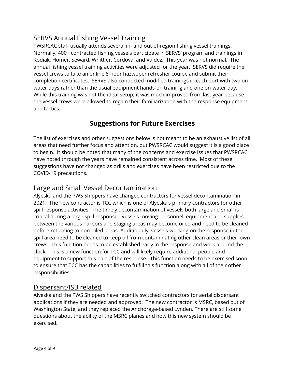# SERVS Annual Fishing Vessel Training

PWSRCAC staff usually attends several in- and out-of-region fishing vessel trainings. Normally, 400+ contracted fishing vessels participate in SERVS' program and trainings in Kodiak, Homer, Seward, Whittier, Cordova, and Valdez. This year was not normal. The annual fishing vessel training activities were adjusted for the year. SERVS did require the vessel crews to take an online 8-hour hazwoper refresher course and submit their completion certificates. SERVS also conducted modified trainings in each port with two onwater days rather than the usual equipment hands-on training and one on-water day. While this training was not the ideal setup, it was much improved from last year because the vessel crews were allowed to regain their familiarization with the response equipment and tactics.

# **Suggestions for Future Exercises**

The list of exercises and other suggestions below is not meant to be an exhaustive list of all areas that need further focus and attention, but PWSRCAC would suggest it is a good place to begin. It should be noted that many of the concerns and exercise issues that PWSRCAC have noted through the years have remained consistent across time. Most of these suggestions have not changed as drills and exercises have been restricted due to the COVID-19 precautions.

### Large and Small Vessel Decontamination

Alyeska and the PWS Shippers have changed contractors for vessel decontamination in 2021. The new contractor is TCC which is one of Alyeska's primary contractors for other spill response activities. The timely decontamination of vessels both large and small is critical during a large spill response. Vessels moving personnel, equipment and supplies between the various harbors and staging areas may become oiled and need to be cleaned before returning to non-oiled areas. Additionally, vessels working on the response in the spill area need to be cleaned to keep oil from contaminating other clean areas or their own crews. This function needs to be established early in the response and work around the clock. This is a new function for TCC and will likely require additional people and equipment to support this part of the response. This function needs to be exercised soon to ensure that TCC has the capabilities to fulfill this function along with all of their other responsibilities.

### Dispersant/ISB related

Alyeska and the PWS Shippers have recently switched contractors for aerial dispersant applications if they are needed and approved. The new contractor is MSRC, based out of Washington State, and they replaced the Anchorage-based Lynden. There are still some questions about the ability of the MSRC planes and how this new system should be exercised.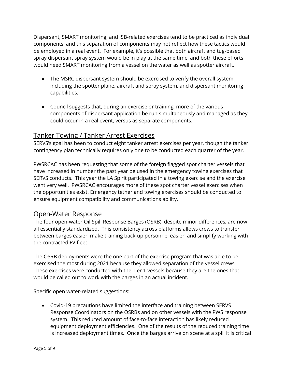Dispersant, SMART monitoring, and ISB-related exercises tend to be practiced as individual components, and this separation of components may not reflect how these tactics would be employed in a real event. For example, it's possible that both aircraft and tug-based spray dispersant spray system would be in play at the same time, and both these efforts would need SMART monitoring from a vessel on the water as well as spotter aircraft.

- The MSRC dispersant system should be exercised to verify the overall system including the spotter plane, aircraft and spray system, and dispersant monitoring capabilities.
- Council suggests that, during an exercise or training, more of the various components of dispersant application be run simultaneously and managed as they could occur in a real event, versus as separate components.

# Tanker Towing / Tanker Arrest Exercises

SERVS's goal has been to conduct eight tanker arrest exercises per year, though the tanker contingency plan technically requires only one to be conducted each quarter of the year.

PWSRCAC has been requesting that some of the foreign flagged spot charter vessels that have increased in number the past year be used in the emergency towing exercises that SERVS conducts. This year the LA Spirit participated in a towing exercise and the exercise went very well. PWSRCAC encourages more of these spot charter vessel exercises when the opportunities exist. Emergency tether and towing exercises should be conducted to ensure equipment compatibility and communications ability.

### Open-Water Response

The four open-water Oil Spill Response Barges (OSRB), despite minor differences, are now all essentially standardized. This consistency across platforms allows crews to transfer between barges easier, make training back-up personnel easier, and simplify working with the contracted FV fleet.

The OSRB deployments were the one part of the exercise program that was able to be exercised the most during 2021 because they allowed separation of the vessel crews. These exercises were conducted with the Tier 1 vessels because they are the ones that would be called out to work with the barges in an actual incident.

Specific open water-related suggestions:

• Covid-19 precautions have limited the interface and training between SERVS Response Coordinators on the OSRBs and on other vessels with the PWS response system. This reduced amount of face-to-face interaction has likely reduced equipment deployment efficiencies. One of the results of the reduced training time is increased deployment times. Once the barges arrive on scene at a spill it is critical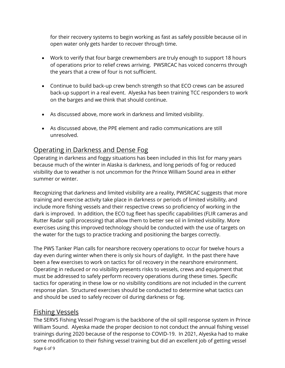for their recovery systems to begin working as fast as safely possible because oil in open water only gets harder to recover through time.

- Work to verify that four barge crewmembers are truly enough to support 18 hours of operations prior to relief crews arriving. PWSRCAC has voiced concerns through the years that a crew of four is not sufficient.
- Continue to build back-up crew bench strength so that ECO crews can be assured back-up support in a real event. Alyeska has been training TCC responders to work on the barges and we think that should continue.
- As discussed above, more work in darkness and limited visibility.
- As discussed above, the PPE element and radio communications are still unresolved.

# Operating in Darkness and Dense Fog

Operating in darkness and foggy situations has been included in this list for many years because much of the winter in Alaska is darkness, and long periods of fog or reduced visibility due to weather is not uncommon for the Prince William Sound area in either summer or winter.

Recognizing that darkness and limited visibility are a reality, PWSRCAC suggests that more training and exercise activity take place in darkness or periods of limited visibility, and include more fishing vessels and their respective crews so proficiency of working in the dark is improved. In addition, the ECO tug fleet has specific capabilities (FLIR cameras and Rutter Radar spill processing) that allow them to better see oil in limited visibility. More exercises using this improved technology should be conducted with the use of targets on the water for the tugs to practice tracking and positioning the barges correctly.

The PWS Tanker Plan calls for nearshore recovery operations to occur for twelve hours a day even during winter when there is only six hours of daylight. In the past there have been a few exercises to work on tactics for oil recovery in the nearshore environment. Operating in reduced or no visibility presents risks to vessels, crews and equipment that must be addressed to safely perform recovery operations during these times. Specific tactics for operating in these low or no visibility conditions are not included in the current response plan. Structured exercises should be conducted to determine what tactics can and should be used to safely recover oil during darkness or fog.

# Fishing Vessels

Page 6 of 9 The SERVS Fishing Vessel Program is the backbone of the oil spill response system in Prince William Sound. Alyeska made the proper decision to not conduct the annual fishing vessel trainings during 2020 because of the response to COVID-19. In 2021, Alyeska had to make some modification to their fishing vessel training but did an excellent job of getting vessel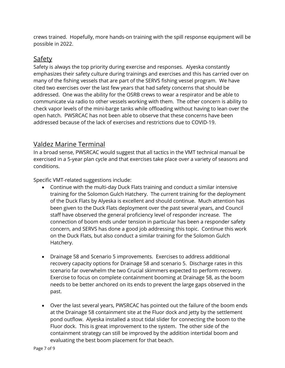crews trained. Hopefully, more hands-on training with the spill response equipment will be possible in 2022.

## Safety

Safety is always the top priority during exercise and responses. Alyeska constantly emphasizes their safety culture during trainings and exercises and this has carried over on many of the fishing vessels that are part of the SERVS fishing vessel program. We have cited two exercises over the last few years that had safety concerns that should be addressed. One was the ability for the OSRB crews to wear a respirator and be able to communicate via radio to other vessels working with them. The other concern is ability to check vapor levels of the mini-barge tanks while offloading without having to lean over the open hatch. PWSRCAC has not been able to observe that these concerns have been addressed because of the lack of exercises and restrictions due to COVID-19.

### Valdez Marine Terminal

In a broad sense, PWSRCAC would suggest that all tactics in the VMT technical manual be exercised in a 5-year plan cycle and that exercises take place over a variety of seasons and conditions.

Specific VMT-related suggestions include:

- Continue with the multi-day Duck Flats training and conduct a similar intensive training for the Solomon Gulch Hatchery. The current training for the deployment of the Duck Flats by Alyeska is excellent and should continue. Much attention has been given to the Duck Flats deployment over the past several years, and Council staff have observed the general proficiency level of responder increase. The connection of boom ends under tension in particular has been a responder safety concern, and SERVS has done a good job addressing this topic. Continue this work on the Duck Flats, but also conduct a similar training for the Solomon Gulch Hatchery.
- Drainage 58 and Scenario 5 improvements. Exercises to address additional recovery capacity options for Drainage 58 and scenario 5. Discharge rates in this scenario far overwhelm the two Crucial skimmers expected to perform recovery. Exercise to focus on complete containment booming at Drainage 58, as the boom needs to be better anchored on its ends to prevent the large gaps observed in the past.
- Over the last several years, PWSRCAC has pointed out the failure of the boom ends at the Drainage 58 containment site at the Fluor dock and jetty by the settlement pond outflow. Alyeska installed a stout tidal slider for connecting the boom to the Fluor dock. This is great improvement to the system. The other side of the containment strategy can still be improved by the addition intertidal boom and evaluating the best boom placement for that beach.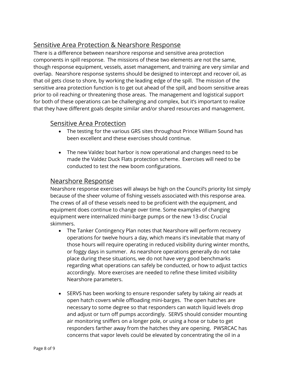# Sensitive Area Protection & Nearshore Response

There is a difference between nearshore response and sensitive area protection components in spill response. The missions of these two elements are not the same, though response equipment, vessels, asset management, and training are very similar and overlap. Nearshore response systems should be designed to intercept and recover oil, as that oil gets close to shore, by working the leading edge of the spill. The mission of the sensitive area protection function is to get out ahead of the spill, and boom sensitive areas prior to oil reaching or threatening those areas. The management and logistical support for both of these operations can be challenging and complex, but it's important to realize that they have different goals despite similar and/or shared resources and management.

#### Sensitive Area Protection

- The testing for the various GRS sites throughout Prince William Sound has been excellent and these exercises should continue.
- The new Valdez boat harbor is now operational and changes need to be made the Valdez Duck Flats protection scheme. Exercises will need to be conducted to test the new boom configurations.

#### Nearshore Response

Nearshore response exercises will always be high on the Council's priority list simply because of the sheer volume of fishing vessels associated with this response area. The crews of all of these vessels need to be proficient with the equipment, and equipment does continue to change over time. Some examples of changing equipment were internalized mini-barge pumps or the new 13-disc Crucial skimmers.

- The Tanker Contingency Plan notes that Nearshore will perform recovery operations for twelve hours a day, which means it's inevitable that many of those hours will require operating in reduced visibility during winter months, or foggy days in summer. As nearshore operations generally do not take place during these situations, we do not have very good benchmarks regarding what operations can safely be conducted, or how to adjust tactics accordingly. More exercises are needed to refine these limited visibility Nearshore parameters.
- SERVS has been working to ensure responder safety by taking air reads at open hatch covers while offloading mini-barges. The open hatches are necessary to some degree so that responders can watch liquid levels drop and adjust or turn off pumps accordingly. SERVS should consider mounting air monitoring sniffers on a longer pole, or using a hose or tube to get responders farther away from the hatches they are opening. PWSRCAC has concerns that vapor levels could be elevated by concentrating the oil in a